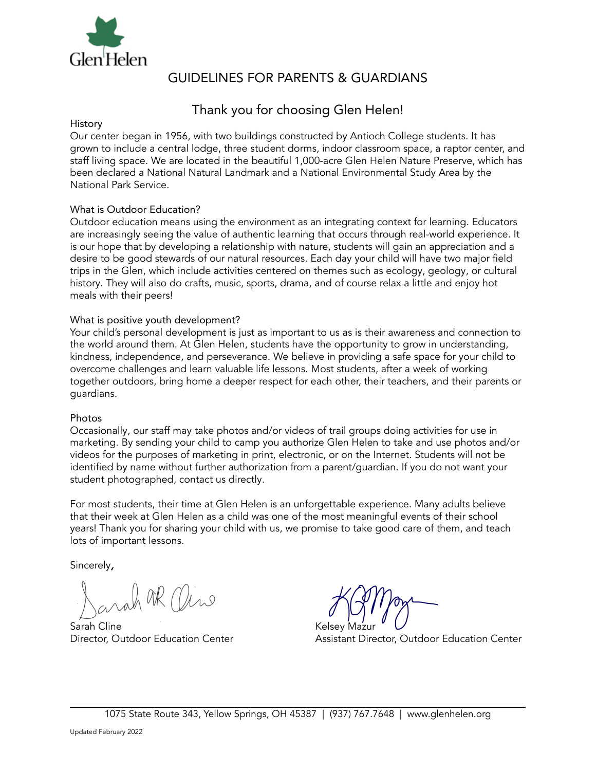

# GUIDELINES FOR PARENTS & GUARDIANS

# Thank you for choosing Glen Helen!

#### History

Our center began in 1956, with two buildings constructed by Antioch College students. It has grown to include a central lodge, three student dorms, indoor classroom space, a raptor center, and staff living space. We are located in the beautiful 1,000-acre Glen Helen Nature Preserve, which has been declared a National Natural Landmark and a National Environmental Study Area by the National Park Service.

# What is Outdoor Education?

Outdoor education means using the environment as an integrating context for learning. Educators are increasingly seeing the value of authentic learning that occurs through real-world experience. It is our hope that by developing a relationship with nature, students will gain an appreciation and a desire to be good stewards of our natural resources. Each day your child will have two major field trips in the Glen, which include activities centered on themes such as ecology, geology, or cultural history. They will also do crafts, music, sports, drama, and of course relax a little and enjoy hot meals with their peers!

#### What is positive youth development?

Your child's personal development is just as important to us as is their awareness and connection to the world around them. At Glen Helen, students have the opportunity to grow in understanding, kindness, independence, and perseverance. We believe in providing a safe space for your child to overcome challenges and learn valuable life lessons. Most students, after a week of working together outdoors, bring home a deeper respect for each other, their teachers, and their parents or guardians.

#### Photos

Occasionally, our staff may take photos and/or videos of trail groups doing activities for use in marketing. By sending your child to camp you authorize Glen Helen to take and use photos and/or videos for the purposes of marketing in print, electronic, or on the Internet. Students will not be identified by name without further authorization from a parent/guardian. If you do not want your student photographed, contact us directly.

For most students, their time at Glen Helen is an unforgettable experience. Many adults believe that their week at Glen Helen as a child was one of the most meaningful events of their school years! Thank you for sharing your child with us, we promise to take good care of them, and teach lots of important lessons.

Sincerely,

MR Mano

Sarah Cline Kelsey

Director, Outdoor Education Center Assistant Director, Outdoor Education Center